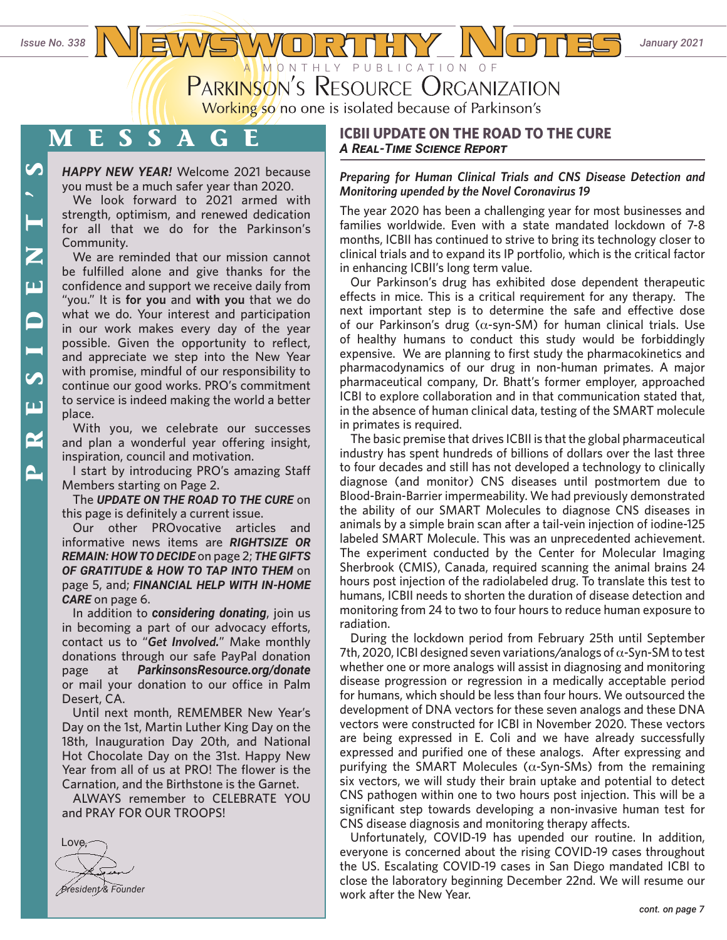*Issue No. 338*  $\frac{N}{2}$   $\frac{1}{2}$   $\frac{1}{2}$   $\frac{1}{2}$   $\frac{1}{2}$   $\frac{1}{2}$   $\frac{1}{2}$   $\frac{1}{2}$   $\frac{1}{2}$   $\frac{1}{2}$   $\frac{1}{2}$   $\frac{1}{2}$   $\frac{1}{2}$   $\frac{1}{2}$   $\frac{1}{2}$   $\frac{1}{2}$   $\frac{1}{2}$   $\frac{1}{2}$   $\frac{1}{2}$   $\frac{1}{2}$   $\frac{1}{$ **PARKINSON'S RESOURCE ORGANIZATION** 

Working so no one is isolated because of Parkinson's

# **MESSAGE**

*HAPPY NEW YEAR!* Welcome 2021 because you must be a much safer year than 2020.

We look forward to 2021 armed with strength, optimism, and renewed dedication for all that we do for the Parkinson's Community.

We are reminded that our mission cannot be fulfilled alone and give thanks for the confidence and support we receive daily from "you." It is **for you** and **with you** that we do what we do. Your interest and participation in our work makes every day of the year possible. Given the opportunity to reflect, and appreciate we step into the New Year with promise, mindful of our responsibility to continue our good works. PRO's commitment to service is indeed making the world a better place.

With you, we celebrate our successes and plan a wonderful year offering insight, inspiration, council and motivation.

I start by introducing PRO's amazing Staff Members starting on Page 2.

The *UPDATE ON THE ROAD TO THE CURE* on this page is definitely a current issue.

Our other PROvocative articles and informative news items are *RIGHTSIZE OR REMAIN: HOW TO DECIDE* on page 2; *THE GIFTS OF GRATITUDE & HOW TO TAP INTO THEM* on page 5, and; *FINANCIAL HELP WITH IN-HOME CARE* on page 6.

In addition to *considering donating*, join us in becoming a part of our advocacy efforts, contact us to "*Get Involved.*" Make monthly donations through our safe PayPal donation page at *[ParkinsonsResource.org/donate](http://www.parkinsonsresource.org/donate)* or mail your donation to our office in Palm Desert, CA.

Until next month, REMEMBER New Year's Day on the 1st, Martin Luther King Day on the 18th, Inauguration Day 20th, and National Hot Chocolate Day on the 31st. Happy New Year from all of us at PRO! The flower is the Carnation, and the Birthstone is the Garnet.

ALWAYS remember to CELEBRATE YOU and PRAY FOR OUR TROOPS!



# **ICBII UPDATE ON THE ROAD TO THE CURE** *A Real-Time Science Report*

# *Preparing for Human Clinical Trials and CNS Disease Detection and Monitoring upended by the Novel Coronavirus 19*

The year 2020 has been a challenging year for most businesses and families worldwide. Even with a state mandated lockdown of 7-8 months, ICBII has continued to strive to bring its technology closer to clinical trials and to expand its IP portfolio, which is the critical factor in enhancing ICBII's long term value.

Our Parkinson's drug has exhibited dose dependent therapeutic effects in mice. This is a critical requirement for any therapy. The next important step is to determine the safe and effective dose of our Parkinson's drug (α-syn-SM) for human clinical trials. Use of healthy humans to conduct this study would be forbiddingly expensive. We are planning to first study the pharmacokinetics and pharmacodynamics of our drug in non-human primates. A major pharmaceutical company, Dr. Bhatt's former employer, approached ICBI to explore collaboration and in that communication stated that, in the absence of human clinical data, testing of the SMART molecule in primates is required.

The basic premise that drives ICBII is that the global pharmaceutical industry has spent hundreds of billions of dollars over the last three to four decades and still has not developed a technology to clinically diagnose (and monitor) CNS diseases until postmortem due to Blood-Brain-Barrier impermeability. We had previously demonstrated the ability of our SMART Molecules to diagnose CNS diseases in animals by a simple brain scan after a tail-vein injection of iodine-125 labeled SMART Molecule. This was an unprecedented achievement. The experiment conducted by the Center for Molecular Imaging Sherbrook (CMIS), Canada, required scanning the animal brains 24 hours post injection of the radiolabeled drug. To translate this test to humans, ICBII needs to shorten the duration of disease detection and monitoring from 24 to two to four hours to reduce human exposure to radiation.

During the lockdown period from February 25th until September 7th, 2020, ICBI designed seven variations/analogs of  $\alpha$ -Syn-SM to test whether one or more analogs will assist in diagnosing and monitoring disease progression or regression in a medically acceptable period for humans, which should be less than four hours. We outsourced the development of DNA vectors for these seven analogs and these DNA vectors were constructed for ICBI in November 2020. These vectors are being expressed in E. Coli and we have already successfully expressed and purified one of these analogs. After expressing and purifying the SMART Molecules ( $α$ -Syn-SMs) from the remaining six vectors, we will study their brain uptake and potential to detect CNS pathogen within one to two hours post injection. This will be a significant step towards developing a non-invasive human test for CNS disease diagnosis and monitoring therapy affects.

Unfortunately, COVID-19 has upended our routine. In addition, everyone is concerned about the rising COVID-19 cases throughout the US. Escalating COVID-19 cases in San Diego mandated ICBI to close the laboratory beginning December 22nd. We will resume our work after the New Year.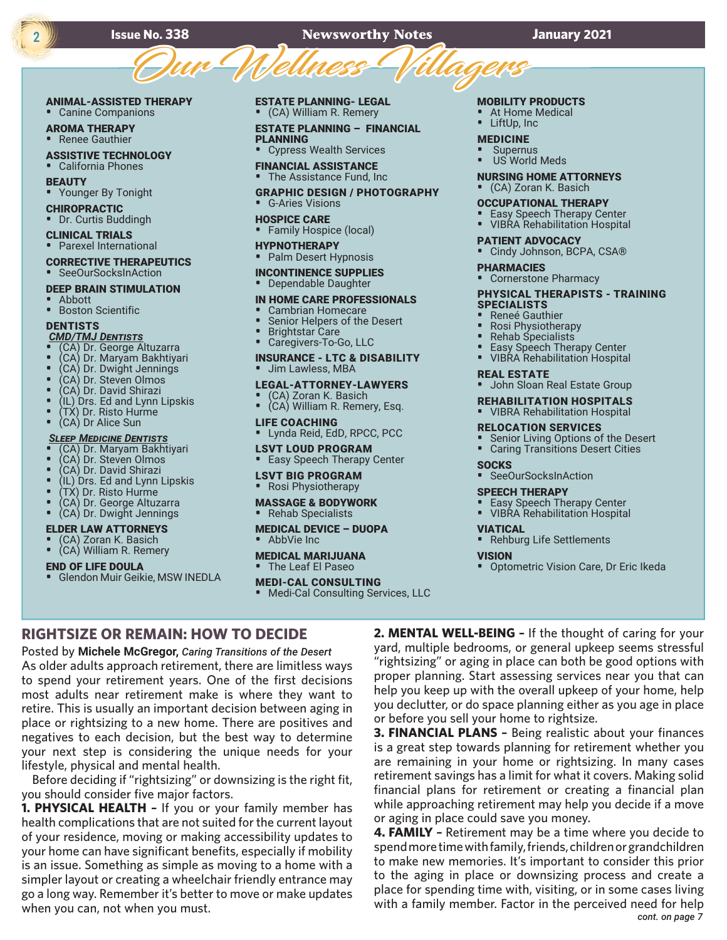# **Issue No. 338 Newsworthy Notes January 2021** SSUE NO. 338 Newsworthy Notes

# ANIMAL-ASSISTED THERAPY

• Canine Companions

AROMA THERAPY • Renee Gauthier

ASSISTIVE TECHNOLOGY

• California Phones **BEAUTY** 

• Younger By Tonight

CHIROPRACTIC

• Dr. Curtis Buddingh

CLINICAL TRIALS

• Parexel International

#### CORRECTIVE THERAPEUTICS • SeeOurSocksInAction

#### DEEP BRAIN STIMULATION

• Abbott

• Boston Scientific

### **DENTISTS**

*CMD/TMJ Dentists*

- (CA) Dr. George Altuzarra
- (CA) Dr. Maryam Bakhtiyari
- (CA) Dr. Dwight Jennings • (CA) Dr. Steven Olmos
- 
- (CA) Dr. David Shirazi
- (IL) Drs. Ed and Lynn Lipskis
- (TX) Dr. Risto Hurme
- (CA) Dr Alice Sun

#### *Sleep Medicine Dentists*

- (CA) Dr. Maryam Bakhtiyari
- (CA) Dr. Steven Olmos
- (CA) Dr. David Shirazi
- (IL) Drs. Ed and Lynn Lipskis
- (TX) Dr. Risto Hurme
- (CA) Dr. George Altuzarra
- (CA) Dr. Dwight Jennings

#### ELDER LAW ATTORNEYS

• (CA) Zoran K. Basich • (CA) William R. Remery

#### END OF LIFE DOULA

• Glendon Muir Geikie, MSW INEDLA

lifestyle, physical and mental health.

when you can, not when you must.

you should consider five major factors.

**RIGHTSIZE OR REMAIN: HOW TO DECIDE** Posted by **Michele McGregor,** *Caring Transitions of the Desert* As older adults approach retirement, there are limitless ways to spend your retirement years. One of the first decisions most adults near retirement make is where they want to retire. This is usually an important decision between aging in place or rightsizing to a new home. There are positives and negatives to each decision, but the best way to determine your next step is considering the unique needs for your

Before deciding if "rightsizing" or downsizing is the right fit,

**1. PHYSICAL HEALTH –** If you or your family member has health complications that are not suited for the current layout of your residence, moving or making accessibility updates to your home can have significant benefits, especially if mobility is an issue. Something as simple as moving to a home with a simpler layout or creating a wheelchair friendly entrance may go a long way. Remember it's better to move or make updates

[ESTATE PLANNING- L](http://parkinsonsresource.org/estate-planning-financial-planners)EGAL • (CA) William R. Remery

[ESTATE PLANNING –](http://parkinsonsresource.org/estate-planning-financial-planners) FINANCIAL PLANNING

• Cypress Wealth Services FINANCIAL ASSISTANCE

• The Assistance Fund, Inc

- GRAPHIC DESIGN / PHOTOGRAPHY • G-Aries Visions
- HOSPICE CARE • Family Hospice (local)
- HYPNOTHERAPY
- Palm Desert Hypnosis

# INCONTINENCE SUPPLIES

• Dependable Daughter

#### [IN HOME CARE PROFESSIONALS](http://parkinsonsresource.org/in-home-care-agencies)

- Cambrian Homecare<br>• Senior Helpers of the
- Senior Helpers of the Desert
- Brightstar Care
- Caregivers-To-Go, LLC

#### INSURANCE - LTC & DISABILITY • Jim Lawless, MBA

- [LEGAL-ATTORNEY-LAWYERS](http://parkinsonsresource.org/lawyers)
- (CA) Zoran K. Basich
- (CA) William R. Remery, Esq.

### LIFE COACHING

• Lynda Reid, EdD, RPCC, PCC

#### LSVT LOUD PROGRAM

• Easy Speech Therapy Center

### LSVT BIG PROGRAM

#### • Rosi Physiotherapy

#### MASSAGE & BODYWORK

• Rehab Specialists

# MEDICAL DEVICE – DUOPA

AbbVie Inc

#### MEDICAL MARIJUANA • The Leaf El Paseo

# MEDI-CAL CONSULTING

• Medi-Cal Consulting Services, LLC

#### MOBILITY PRODUCTS

- At Home Medical
- LiftUp, Inc

## MEDICINE

**Supernus** US World Meds

# NURSING HOME ATTORNEYS

• (CA) Zoran K. Basich

- OCCUPATIONAL THERAPY
- Easy Speech Therapy Center • VIBRA Rehabilitation Hospital
- 

### PATIENT ADVOCACY

- Cindy Johnson, BCPA, CSA®
- PHARMACIES
- Cornerstone Pharmacy

#### [PHYSICAL THERAPISTS](http://parkinsonsresource.org/physical-therapists-personal-training-specialists) - TRAINING [SPECIALISTS](http://parkinsonsresource.org/physical-therapists-personal-training-specialists)

- Reneé Gauthier
- 
- Rosi Physiotherapy • Rehab Specialists
- **Easy Speech Therapy Center**
- VIBRA Rehabilitation Hospital

#### REAL ESTATE

• John Sloan Real Estate Group

### REHABILITATION HOSPITALS

#### • VIBRA Rehabilitation Hospital

#### RELOCATION SERVICES

• SeeOurSocksInAction SPEECH THERAPY

• Easy Speech Therapy Center<br>• VIRRA Rehabilitation Hospita • VIBRA Rehabilitation Hospital

• Rehburg Life Settlements

**2. MENTAL WELL-BEING –** If the thought of caring for your yard, multiple bedrooms, or general upkeep seems stressful "rightsizing" or aging in place can both be good options with proper planning. Start assessing services near you that can help you keep up with the overall upkeep of your home, help you declutter, or do space planning either as you age in place

**3. FINANCIAL PLANS –** Being realistic about your finances is a great step towards planning for retirement whether you are remaining in your home or rightsizing. In many cases retirement savings has a limit for what it covers. Making solid financial plans for retirement or creating a financial plan while approaching retirement may help you decide if a move

**4. FAMILY –** Retirement may be a time where you decide to spend more time with family, friends, children or grandchildren to make new memories. It's important to consider this prior to the aging in place or downsizing process and create a place for spending time with, visiting, or in some cases living with a family member. Factor in the perceived need for help

Senior Living Options of the Desert

• Optometric Vision Care, Dr Eric Ikeda

*cont. on page 7*

• Caring Transitions Desert Cities

#### **SOCKS**

VIATICAL

**VISION** 

or before you sell your home to rightsize.

or aging in place could save you money.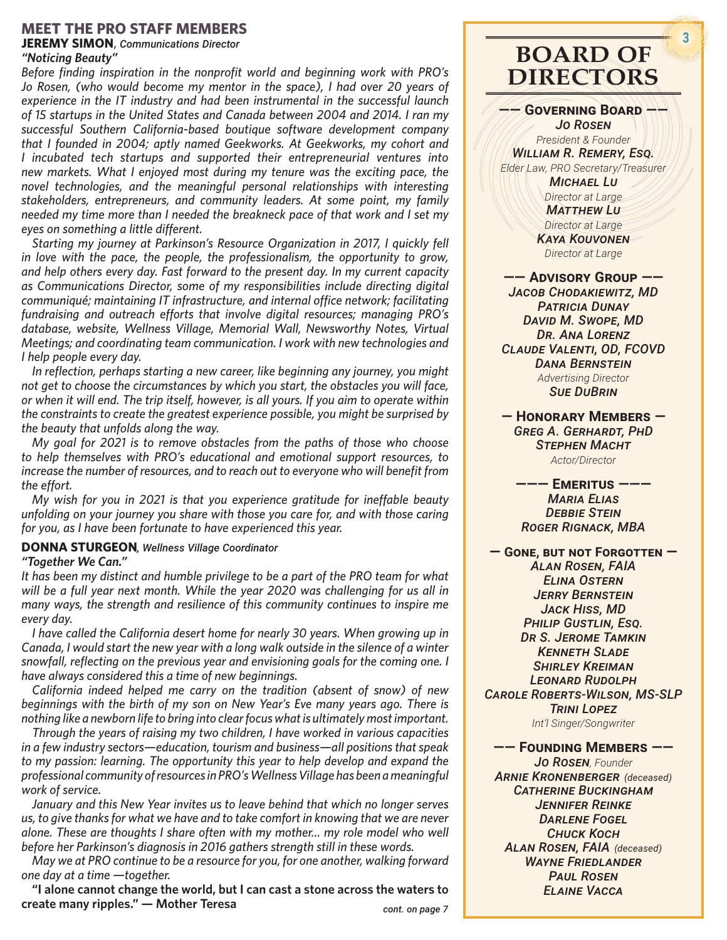# **MEET THE PRO STAFF MEMBERS**

**JEREMY SIMON**, *Communications Director*

# *"Noticing Beauty"*

*Before finding inspiration in the nonprofit world and beginning work with PRO's Jo Rosen, (who would become my mentor in the space), I had over 20 years of experience in the IT industry and had been instrumental in the successful launch of 15 startups in the United States and Canada between 2004 and 2014. I ran my successful Southern California-based boutique software development company that I founded in 2004; aptly named Geekworks. At Geekworks, my cohort and I incubated tech startups and supported their entrepreneurial ventures into new markets. What I enjoyed most during my tenure was the exciting pace, the novel technologies, and the meaningful personal relationships with interesting stakeholders, entrepreneurs, and community leaders. At some point, my family needed my time more than I needed the breakneck pace of that work and I set my eyes on something a little different.*

*Starting my journey at Parkinson's Resource Organization in 2017, I quickly fell in love with the pace, the people, the professionalism, the opportunity to grow, and help others every day. Fast forward to the present day. In my current capacity as Communications Director, some of my responsibilities include directing digital communiqué; maintaining IT infrastructure, and internal office network; facilitating fundraising and outreach efforts that involve digital resources; managing PRO's database, website, Wellness Village, Memorial Wall, Newsworthy Notes, Virtual Meetings; and coordinating team communication. I work with new technologies and I help people every day.*

*In reflection, perhaps starting a new career, like beginning any journey, you might not get to choose the circumstances by which you start, the obstacles you will face, or when it will end. The trip itself, however, is all yours. If you aim to operate within the constraints to create the greatest experience possible, you might be surprised by the beauty that unfolds along the way.*

*My goal for 2021 is to remove obstacles from the paths of those who choose to help themselves with PRO's educational and emotional support resources, to increase the number of resources, and to reach out to everyone who will benefit from the effort.*

*My wish for you in 2021 is that you experience gratitude for ineffable beauty unfolding on your journey you share with those you care for, and with those caring for you, as I have been fortunate to have experienced this year.*

# **DONNA STURGEON***, Wellness Village Coordinator*

*"Together We Can."*

*It has been my distinct and humble privilege to be a part of the PRO team for what will be a full year next month. While the year 2020 was challenging for us all in many ways, the strength and resilience of this community continues to inspire me every day.*

*I have called the California desert home for nearly 30 years. When growing up in Canada, I would start the new year with a long walk outside in the silence of a winter snowfall, reflecting on the previous year and envisioning goals for the coming one. I have always considered this a time of new beginnings.*

*California indeed helped me carry on the tradition (absent of snow) of new beginnings with the birth of my son on New Year's Eve many years ago. There is nothing like a newborn life to bring into clear focus what is ultimately most important.* 

*Through the years of raising my two children, I have worked in various capacities in a few industry sectors—education, tourism and business—all positions that speak to my passion: learning. The opportunity this year to help develop and expand the professional community of resources in PRO's Wellness Village has been a meaningful work of service.* 

*January and this New Year invites us to leave behind that which no longer serves us, to give thanks for what we have and to take comfort in knowing that we are never alone. These are thoughts I share often with my mother... my role model who well before her Parkinson's diagnosis in 2016 gathers strength still in these words.*

*May we at PRO continue to be a resource for you, for one another, walking forward one day at a time —together.*

**"I alone cannot change the world, but I can cast a stone across the waters to create many ripples." — Mother Teresa**

*cont. on page 7*

# **BOARD OF DIRECTORS**

**—— Governing Board ——**

*Jo Rosen President & Founder William R. Remery, Esq. Elder Law, PRO Secretary/Treasurer*

*Michael Lu Director at Large Matthew Lu*

*Director at Large Kaya Kouvonen Director at Large*

**—— Advisory Group ——** *Jacob Chodakiewitz, MD Patricia Dunay David M. Swope, MD Dr. Ana Lorenz Claude Valenti, OD, FCOVD Dana Bernstein Advertising Director Sue DuBrin*

**— Honorary Members —** *Greg A. Gerhardt, PhD Stephen Macht Actor/Director*

**——— Emeritus ———** *Maria Elias Debbie Stein Roger Rignack, MBA*

**— Gone, but not Forgotten —** *Alan Rosen, FAIA Elina Ostern Jerry Bernstein Jack Hiss, MD Philip Gustlin, Esq. Dr S. Jerome Tamkin Kenneth Slade Shirley Kreiman Leonard Rudolph Carole Roberts-Wilson, MS-SLP Trini Lopez*

*Int'l Singer/Songwriter*

**—— Founding Members ——**

*Jo Rosen, Founder Arnie Kronenberger (deceased) Catherine Buckingham Jennifer Reinke* **DARLENE FOGEL** *Chuck Koch Alan Rosen, FAIA (deceased) Wayne Friedlander Paul Rosen Elaine Vacca*

**3**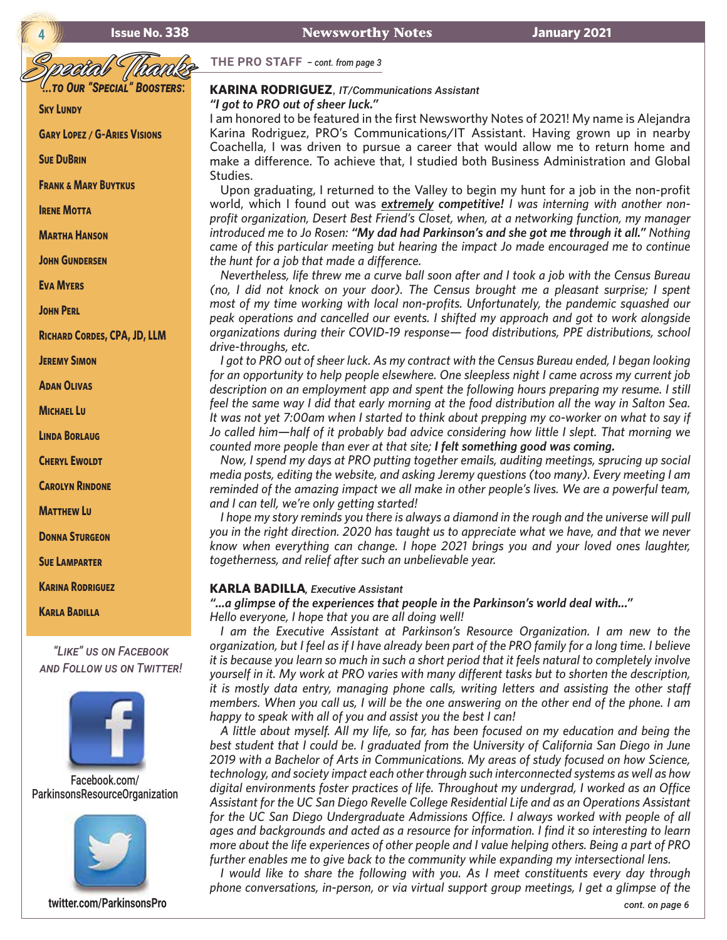**<sup>4</sup> Issue No. 338 Newsworthy Notes January 2021**

**THE PRO STAFF** *– cont. from page 3*

**SKY LUNDY** 

**Gary Lopez / G~Aries Visions**

**Sue DuBrin**

**Frank & Mary Buytkus**

**IRENE MOTTA** 

**Martha Hanson**

**John Gundersen**

**Eva Myers**

**John Perl**

**Richard Cordes, CPA, JD, LLM**

**Jeremy Simon**

**Adan Olivas**

**Michael Lu**

**Linda Borlaug**

**Cheryl Ewoldt**

**Carolyn Rindone**

**Matthew Lu**

**Donna Sturgeon**

**Sue Lamparter**

**Karina Rodriguez**

**Karla Badilla**

*"Like" us on Facebook and Follow us on Twitter!*



[Facebook.com/](https://www.facebook.com/Parkinsonsresourceorganization) [ParkinsonsResourceOrganization](https://www.facebook.com/Parkinsonsresourceorganization)



**[twitter.com/ParkinsonsPro](http://twitter.com/ParkinsonsPro)**

# Special Thanks *...to Our "Special" Boosters***: KARINA RODRIGUEZ**, *IT/Communications Assistant*

*"I got to PRO out of sheer luck."* 

I am honored to be featured in the first Newsworthy Notes of 2021! My name is Alejandra Karina Rodriguez, PRO's Communications/IT Assistant. Having grown up in nearby Coachella, I was driven to pursue a career that would allow me to return home and make a difference. To achieve that, I studied both Business Administration and Global Studies.

Upon graduating, I returned to the Valley to begin my hunt for a job in the non-profit world, which I found out was *extremely competitive! I was interning with another nonprofit organization, Desert Best Friend's Closet, when, at a networking function, my manager introduced me to Jo Rosen: "My dad had Parkinson's and she got me through it all." Nothing came of this particular meeting but hearing the impact Jo made encouraged me to continue the hunt for a job that made a difference.*

*Nevertheless, life threw me a curve ball soon after and I took a job with the Census Bureau (no, I did not knock on your door). The Census brought me a pleasant surprise; I spent most of my time working with local non-profits. Unfortunately, the pandemic squashed our peak operations and cancelled our events. I shifted my approach and got to work alongside organizations during their COVID-19 response— food distributions, PPE distributions, school drive-throughs, etc.*

*I got to PRO out of sheer luck. As my contract with the Census Bureau ended, I began looking for an opportunity to help people elsewhere. One sleepless night I came across my current job description on an employment app and spent the following hours preparing my resume. I still feel the same way I did that early morning at the food distribution all the way in Salton Sea. It was not yet 7:00am when I started to think about prepping my co-worker on what to say if Jo called him—half of it probably bad advice considering how little I slept. That morning we counted more people than ever at that site; I felt something good was coming.*

*Now, I spend my days at PRO putting together emails, auditing meetings, sprucing up social media posts, editing the website, and asking Jeremy questions (too many). Every meeting I am reminded of the amazing impact we all make in other people's lives. We are a powerful team, and I can tell, we're only getting started!*

*I hope my story reminds you there is always a diamond in the rough and the universe will pull you in the right direction. 2020 has taught us to appreciate what we have, and that we never know when everything can change. I hope 2021 brings you and your loved ones laughter, togetherness, and relief after such an unbelievable year.*

#### **KARLA BADILLA***, Executive Assistant*

*"...a glimpse of the experiences that people in the Parkinson's world deal with..."* 

*Hello everyone, I hope that you are all doing well!* 

*I am the Executive Assistant at Parkinson's Resource Organization. I am new to the organization, but I feel as if I have already been part of the PRO family for a long time. I believe it is because you learn so much in such a short period that it feels natural to completely involve yourself in it. My work at PRO varies with many different tasks but to shorten the description, it is mostly data entry, managing phone calls, writing letters and assisting the other staff members. When you call us, I will be the one answering on the other end of the phone. I am happy to speak with all of you and assist you the best I can!*

*A little about myself. All my life, so far, has been focused on my education and being the best student that I could be. I graduated from the University of California San Diego in June 2019 with a Bachelor of Arts in Communications. My areas of study focused on how Science, technology, and society impact each other through such interconnected systems as well as how digital environments foster practices of life. Throughout my undergrad, I worked as an Office Assistant for the UC San Diego Revelle College Residential Life and as an Operations Assistant for the UC San Diego Undergraduate Admissions Office. I always worked with people of all ages and backgrounds and acted as a resource for information. I find it so interesting to learn more about the life experiences of other people and I value helping others. Being a part of PRO further enables me to give back to the community while expanding my intersectional lens.*

*I* would like to share the following with you. As I meet constituents every day through *phone conversations, in-person, or via virtual support group meetings, I get a glimpse of the*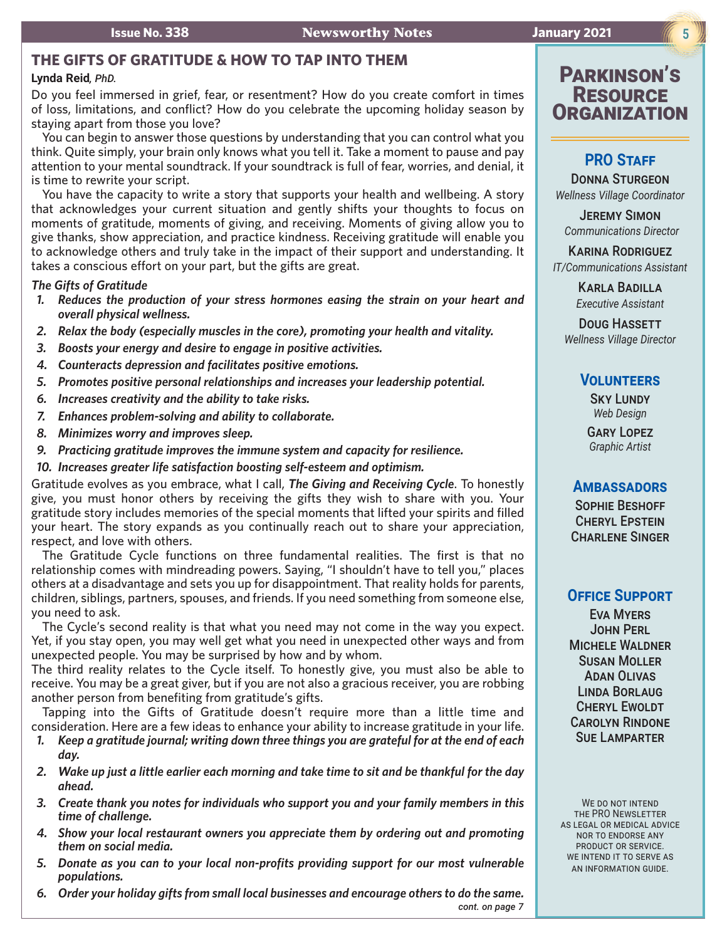# **THE GIFTS OF GRATITUDE & HOW TO TAP INTO THEM**

# **Lynda Reid***, PhD.*

Do you feel immersed in grief, fear, or resentment? How do you create comfort in times of loss, limitations, and conflict? How do you celebrate the upcoming holiday season by staying apart from those you love?

You can begin to answer those questions by understanding that you can control what you think. Quite simply, your brain only knows what you tell it. Take a moment to pause and pay attention to your mental soundtrack. If your soundtrack is full of fear, worries, and denial, it is time to rewrite your script.

You have the capacity to write a story that supports your health and wellbeing. A story that acknowledges your current situation and gently shifts your thoughts to focus on moments of gratitude, moments of giving, and receiving. Moments of giving allow you to give thanks, show appreciation, and practice kindness. Receiving gratitude will enable you to acknowledge others and truly take in the impact of their support and understanding. It takes a conscious effort on your part, but the gifts are great.

### *The Gifts of Gratitude*

- *1. Reduces the production of your stress hormones easing the strain on your heart and overall physical wellness.*
- *2. Relax the body (especially muscles in the core), promoting your health and vitality.*
- *3. Boosts your energy and desire to engage in positive activities.*
- *4. Counteracts depression and facilitates positive emotions.*
- *5. Promotes positive personal relationships and increases your leadership potential.*
- *6. Increases creativity and the ability to take risks.*
- *7. Enhances problem-solving and ability to collaborate.*
- *8. Minimizes worry and improves sleep.*
- *9. Practicing gratitude improves the immune system and capacity for resilience.*
- *10. Increases greater life satisfaction boosting self-esteem and optimism.*

Gratitude evolves as you embrace, what I call, *The Giving and Receiving Cycle*. To honestly give, you must honor others by receiving the gifts they wish to share with you. Your gratitude story includes memories of the special moments that lifted your spirits and filled your heart. The story expands as you continually reach out to share your appreciation, respect, and love with others.

The Gratitude Cycle functions on three fundamental realities. The first is that no relationship comes with mindreading powers. Saying, "I shouldn't have to tell you," places others at a disadvantage and sets you up for disappointment. That reality holds for parents, children, siblings, partners, spouses, and friends. If you need something from someone else, you need to ask.

The Cycle's second reality is that what you need may not come in the way you expect. Yet, if you stay open, you may well get what you need in unexpected other ways and from unexpected people. You may be surprised by how and by whom.

The third reality relates to the Cycle itself. To honestly give, you must also be able to receive. You may be a great giver, but if you are not also a gracious receiver, you are robbing another person from benefiting from gratitude's gifts.

Tapping into the Gifts of Gratitude doesn't require more than a little time and consideration. Here are a few ideas to enhance your ability to increase gratitude in your life.

- *1. Keep a gratitude journal; writing down three things you are grateful for at the end of each day.*
- *2. Wake up just a little earlier each morning and take time to sit and be thankful for the day ahead.*
- *3. Create thank you notes for individuals who support you and your family members in this time of challenge.*
- *4. Show your local restaurant owners you appreciate them by ordering out and promoting them on social media.*
- *5. Donate as you can to your local non-profits providing support for our most vulnerable populations.*
- *6. Order your holiday gifts from small local businesses and encourage others to do the same. cont. on page 7*

# Parkinson's **RESOURCE** ORGANIZAT

# **PRO STAFF**

Donna Sturgeon *Wellness Village Coordinator* 

**JEREMY SIMON** *Communications Director*

Karina Rodriguez *IT/Communications Assistant*

> Karla Badilla *Executive Assistant*

Doug HASSETT *Wellness Village Director* 

# **Volunteers**

**SKY LUNDY** *Web Design*

Gary Lopez *Graphic Artist*

# **Ambassadors**

Sophie Beshoff Cheryl Epstein CHARLENE SINGER

# **Office Support**

Eva Myers John Perl Michele Waldner Susan Moller Adan Olivas Linda Borlaug Cheryl Ewoldt Carolyn Rindone Sue Lamparter

WE DO NOT INTEND the PRO Newsletter as legal or medical advice nor to endorse any product or service. WE INTEND IT TO SERVE AS an information guide.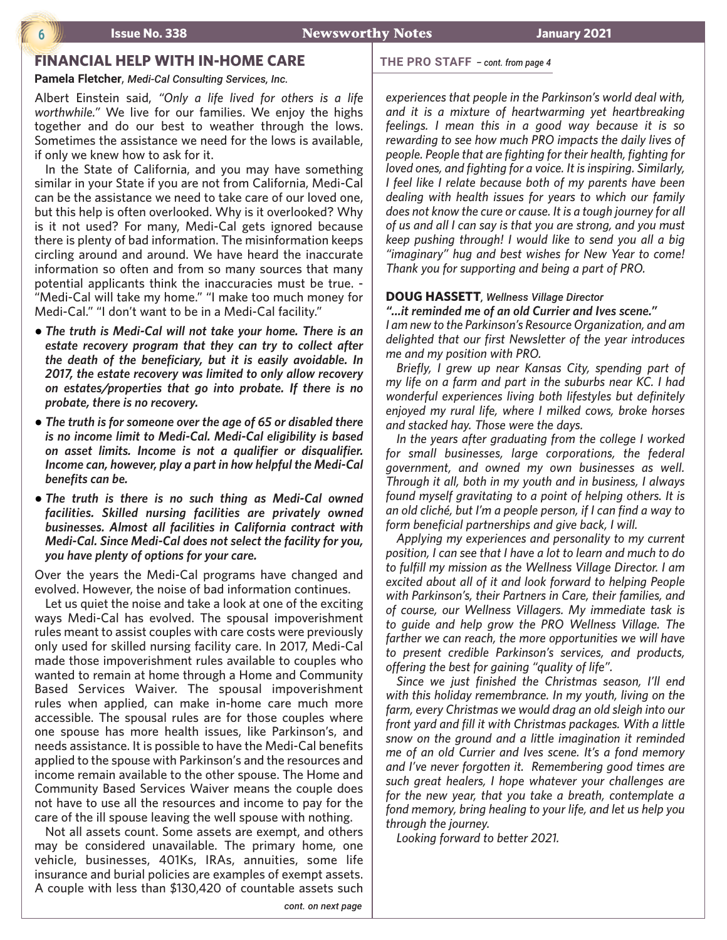## **6 Issue No. 338 Newsworthy Notes January 2021**

# **FINANCIAL HELP WITH IN-HOME CARE**

**Pamela Fletcher**, *Medi-Cal Consulting Services, Inc.*

Albert Einstein said, *"Only a life lived for others is a life worthwhile."* We live for our families. We enjoy the highs together and do our best to weather through the lows. Sometimes the assistance we need for the lows is available, if only we knew how to ask for it.

In the State of California, and you may have something similar in your State if you are not from California, Medi-Cal can be the assistance we need to take care of our loved one, but this help is often overlooked. Why is it overlooked? Why is it not used? For many, Medi-Cal gets ignored because there is plenty of bad information. The misinformation keeps circling around and around. We have heard the inaccurate information so often and from so many sources that many potential applicants think the inaccuracies must be true. - "Medi-Cal will take my home." "I make too much money for Medi-Cal." "I don't want to be in a Medi-Cal facility."

- **•** The truth is Medi-Cal will not take your home. There is an *estate recovery program that they can try to collect after the death of the beneficiary, but it is easily avoidable. In 2017, the estate recovery was limited to only allow recovery on estates/properties that go into probate. If there is no probate, there is no recovery.*
- The truth is for someone over the age of 65 or disabled there *is no income limit to Medi-Cal. Medi-Cal eligibility is based on asset limits. Income is not a qualifier or disqualifier. Income can, however, play a part in how helpful the Medi-Cal benefits can be.*
- **•** The truth is there is no such thing as Medi-Cal owned *facilities. Skilled nursing facilities are privately owned businesses. Almost all facilities in California contract with Medi-Cal. Since Medi-Cal does not select the facility for you, you have plenty of options for your care.*

Over the years the Medi-Cal programs have changed and evolved. However, the noise of bad information continues.

Let us quiet the noise and take a look at one of the exciting ways Medi-Cal has evolved. The spousal impoverishment rules meant to assist couples with care costs were previously only used for skilled nursing facility care. In 2017, Medi-Cal made those impoverishment rules available to couples who wanted to remain at home through a Home and Community Based Services Waiver. The spousal impoverishment rules when applied, can make in-home care much more accessible. The spousal rules are for those couples where one spouse has more health issues, like Parkinson's, and needs assistance. It is possible to have the Medi-Cal benefits applied to the spouse with Parkinson's and the resources and income remain available to the other spouse. The Home and Community Based Services Waiver means the couple does not have to use all the resources and income to pay for the care of the ill spouse leaving the well spouse with nothing.

Not all assets count. Some assets are exempt, and others may be considered unavailable. The primary home, one vehicle, businesses, 401Ks, IRAs, annuities, some life insurance and burial policies are examples of exempt assets. A couple with less than \$130,420 of countable assets such

#### **THE PRO STAFF** *– cont. from page 4*

*experiences that people in the Parkinson's world deal with, and it is a mixture of heartwarming yet heartbreaking feelings. I mean this in a good way because it is so rewarding to see how much PRO impacts the daily lives of people. People that are fighting for their health, fighting for loved ones, and fighting for a voice. It is inspiring. Similarly, I feel like I relate because both of my parents have been dealing with health issues for years to which our family does not know the cure or cause. It is a tough journey for all of us and all I can say is that you are strong, and you must keep pushing through! I would like to send you all a big "imaginary" hug and best wishes for New Year to come! Thank you for supporting and being a part of PRO.*

#### **DOUG HASSETT***, Wellness Village Director*

*"...it reminded me of an old Currier and Ives scene." I am new to the Parkinson's Resource Organization, and am delighted that our first Newsletter of the year introduces me and my position with PRO.* 

*Briefly, I grew up near Kansas City, spending part of my life on a farm and part in the suburbs near KC. I had wonderful experiences living both lifestyles but definitely enjoyed my rural life, where I milked cows, broke horses and stacked hay. Those were the days.*

*In the years after graduating from the college I worked for small businesses, large corporations, the federal government, and owned my own businesses as well. Through it all, both in my youth and in business, I always found myself gravitating to a point of helping others. It is an old cliché, but I'm a people person, if I can find a way to form beneficial partnerships and give back, I will.*

*Applying my experiences and personality to my current position, I can see that I have a lot to learn and much to do to fulfill my mission as the Wellness Village Director. I am excited about all of it and look forward to helping People with Parkinson's, their Partners in Care, their families, and of course, our Wellness Villagers. My immediate task is to guide and help grow the PRO Wellness Village. The farther we can reach, the more opportunities we will have to present credible Parkinson's services, and products, offering the best for gaining "quality of life".* 

*Since we just finished the Christmas season, I'll end with this holiday remembrance. In my youth, living on the farm, every Christmas we would drag an old sleigh into our front yard and fill it with Christmas packages. With a little snow on the ground and a little imagination it reminded me of an old Currier and Ives scene. It's a fond memory and I've never forgotten it. Remembering good times are such great healers, I hope whatever your challenges are for the new year, that you take a breath, contemplate a fond memory, bring healing to your life, and let us help you through the journey.*

*Looking forward to better 2021.*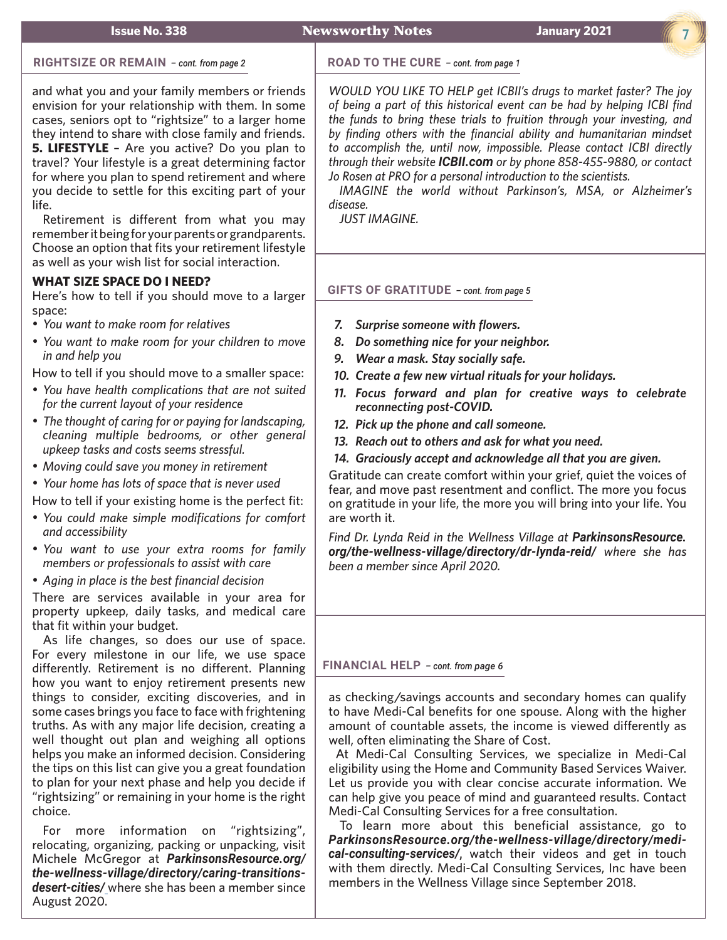### **Issue No. 338 Newsworthy Notes January 2021**

**7**

#### **RIGHTSIZE OR REMAIN** *– cont. from page 2*

and what you and your family members or friends envision for your relationship with them. In some cases, seniors opt to "rightsize" to a larger home they intend to share with close family and friends. **5. LIFESTYLE –** Are you active? Do you plan to travel? Your lifestyle is a great determining factor for where you plan to spend retirement and where you decide to settle for this exciting part of your life.

Retirement is different from what you may remember it being for your parents or grandparents. Choose an option that fits your retirement lifestyle as well as your wish list for social interaction.

## **WHAT SIZE SPACE DO I NEED?**

Here's how to tell if you should move to a larger space:

- • *You want to make room for relatives*
- • *You want to make room for your children to move in and help you*

How to tell if you should move to a smaller space:

- • *You have health complications that are not suited for the current layout of your residence*
- • *The thought of caring for or paying for landscaping, cleaning multiple bedrooms, or other general upkeep tasks and costs seems stressful.*
- • *Moving could save you money in retirement*

• *Your home has lots of space that is never used*

How to tell if your existing home is the perfect fit:

- • *You could make simple modifications for comfort and accessibility*
- • *You want to use your extra rooms for family members or professionals to assist with care*
- • *Aging in place is the best financial decision*

There are services available in your area for property upkeep, daily tasks, and medical care that fit within your budget.

As life changes, so does our use of space. For every milestone in our life, we use space differently. Retirement is no different. Planning how you want to enjoy retirement presents new things to consider, exciting discoveries, and in some cases brings you face to face with frightening truths. As with any major life decision, creating a well thought out plan and weighing all options helps you make an informed decision. Considering the tips on this list can give you a great foundation to plan for your next phase and help you decide if "rightsizing" or remaining in your home is the right choice.

For more information on "rightsizing", relocating, organizing, packing or unpacking, visit Michele McGregor at *[ParkinsonsResource.org/](https://www.parkinsonsresource.org/the-wellness-village/directory/caring-transitions-desert-cities/) [the-wellness-village/directory/caring-transitions](https://www.parkinsonsresource.org/the-wellness-village/directory/caring-transitions-desert-cities/)[desert-cities/](https://www.parkinsonsresource.org/the-wellness-village/directory/caring-transitions-desert-cities/)* where she has been a member since August 2020.

#### **ROAD TO THE CURE** *– cont. from page 1*

*WOULD YOU LIKE TO HELP get ICBII's drugs to market faster? The joy of being a part of this historical event can be had by helping ICBI find the funds to bring these trials to fruition through your investing, and by finding others with the financial ability and humanitarian mindset to accomplish the, until now, impossible. Please contact ICBI directly through their website ICBI[I.com](http://icbii.com/) or by phone 858-455-9880, or contact Jo Rosen at PRO for a personal introduction to the scientists.*

*IMAGINE the world without Parkinson's, MSA, or Alzheimer's disease.* 

*JUST IMAGINE.*

### **GIFTS OF GRATITUDE** *– cont. from page 5*

- *7. Surprise someone with flowers.*
- *8. Do something nice for your neighbor.*
- *9. Wear a mask. Stay socially safe.*
- *10. Create a few new virtual rituals for your holidays.*
- *11. Focus forward and plan for creative ways to celebrate reconnecting post-COVID.*
- *12. Pick up the phone and call someone.*
- *13. Reach out to others and ask for what you need.*
- *14. Graciously accept and acknowledge all that you are given.*

Gratitude can create comfort within your grief, quiet the voices of fear, and move past resentment and conflict. The more you focus on gratitude in your life, the more you will bring into your life. You are worth it.

*Find Dr. Lynda Reid in the Wellness Village at P[arkinsonsResource.](https://www.parkinsonsresource.org/the-wellness-village/directory/dr-lynda-reid/) [org/the-wellness-village/directory/dr-lynda-reid/](https://www.parkinsonsresource.org/the-wellness-village/directory/dr-lynda-reid/) where she has been a member since April 2020.*

# **FINANCIAL HELP** *– cont. from page 6*

as checking/savings accounts and secondary homes can qualify to have Medi-Cal benefits for one spouse. Along with the higher amount of countable assets, the income is viewed differently as well, often eliminating the Share of Cost.

 At Medi-Cal Consulting Services, we specialize in Medi-Cal eligibility using the Home and Community Based Services Waiver. Let us provide you with clear concise accurate information. We can help give you peace of mind and guaranteed results. Contact Medi-Cal Consulting Services for a free consultation.

To learn more about this beneficial assistance, go to *P[arkinsonsResource.org/the-wellness-village/directory/medi](https://www.parkinsonsresource.org/the-wellness-village/directory/medi-cal-consulting-services/)[cal-consulting-services/](https://www.parkinsonsresource.org/the-wellness-village/directory/medi-cal-consulting-services/)*, watch their videos and get in touch with them directly. Medi-Cal Consulting Services, Inc have been members in the Wellness Village since September 2018.